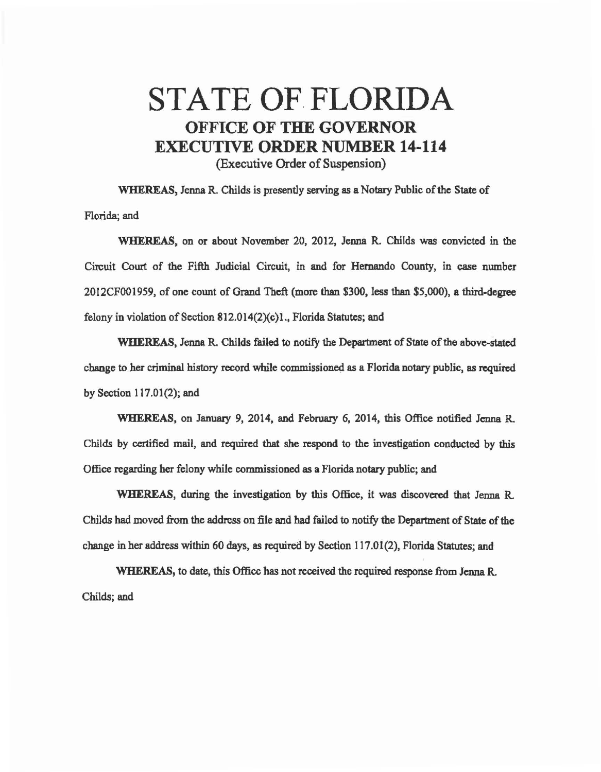## STATE OF FLORIDA OFFICE OF **THE GOVERNOR**  EXECUTIVE **ORDER** NUMBER **14-114**  (Executive Order of Suspension)

WHEREAS, Jenna R. Childs is presently serving as a Notary Public of the State of Florida; and

WHEREAS, on or about November 20, 2012, Jenna R. Childs was convicted in the Circuit Court of the Fifth Judicial Circuit, in and for Hernando County, in case number 2012CF001959, of one count of Grand Theft (more than \$300, less than \$5,000), a third-degree felony in violation of Section 812.014(2)(c)1., Florida Statutes; and

WHEREAS, Jenna R. Childs failed to notify the Department of State of the above-stated change to her criminal history record while commissioned as a Florida notary public, as required by Section 117.01(2); and

WHEREAS, on January 9, 2014, and February 6, 2014, this Office notified Jenna R Childs by certified mail, and required that she respond to the investigation conducted by this Office regarding her felony while commissioned as a Florida notary public; and

WHEREAS, during the investigation by this Office, it was discovered that Jenna R. Childs had moved from the address on file and had failed to notify the Department of State of the change in her address within 60 days, as required by Section 117.01(2), Florida Statutes; and

WHEREAS, to date, this Office has not received the required response from Jenna R. Childs; and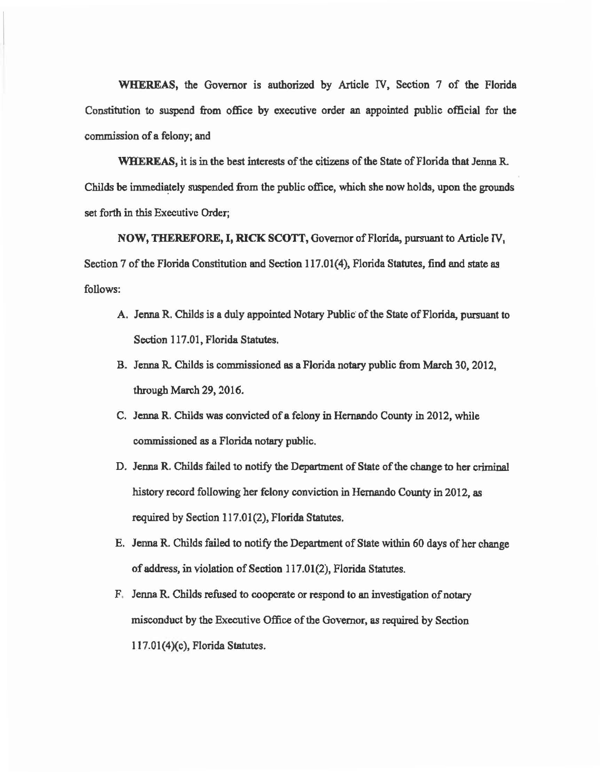WHEREAS, the Governor is authorized by Article IV, Section 7 of the Florida Constitution to suspend from office by executive order an appointed public official for the commission of a felony; and

WHEREAS, it is in the best interests of the citizens of the State of Florida that Jenna R. Childs be immediately suspended from the public office, which she now holds, upon the grounds set forth in this Executive Order;

NOW, THEREFORE, I, RICK SCOTT, Governor of Florida, pursuant to Article IV, Section 7 of the Florida Constitution and Section 117.01(4), Florida Statutes, find end state as follows:

- A. Jenna R. Childs is a duly appointed Notary Public of the State of Florida, pursuant to Section 117.01, Florida Statutes.
- B. Jenna R. Childs is commissioned as a Florida notary public from March 30, 2012, through March 29, 2016.
- C. Jenna R. Childs was convicted of a felony in Hernando County in 2012, while commissioned as a Florida notary public.
- D. Jenna R. Childs failed to notify the Department of State of the change to her criminal history record following her felony conviction in Hernando County in 2012, as required by Section 117.01(2), Florida Statutes.
- E. Jenna R. Childs failed to notify the Department of State within 60 days of her change of address, in violation of Section 117.01(2), Florida Statutes.
- F. Jenna R. Childs refused to cooperate or respond to an investigation of notary misconduct by the Executive Office of the Governor, as required by Section  $117.01(4)(c)$ , Florida Statutes.